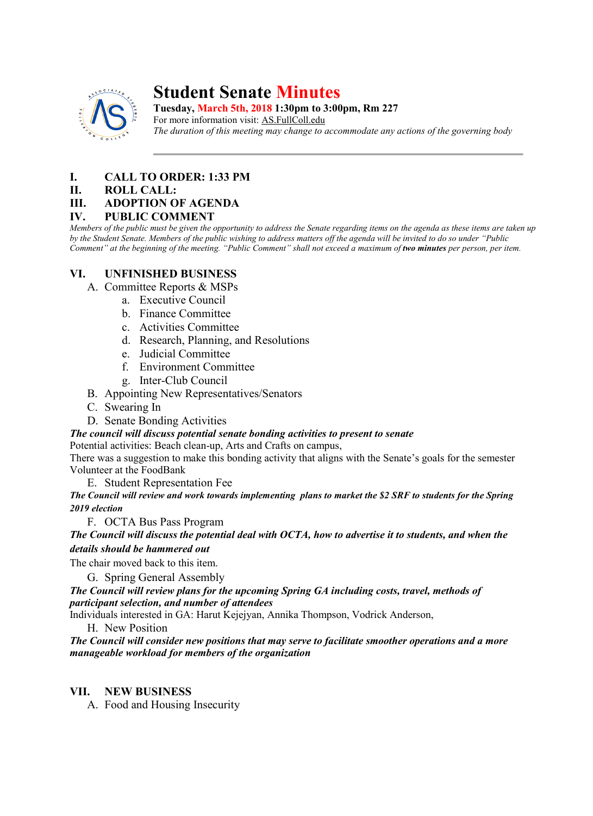

# **Student Senate Minutes**

**Tuesday, March 5th, 2018 1:30pm to 3:00pm, Rm 227**

For more information visit: AS.FullColl.edu *The duration of this meeting may change to accommodate any actions of the governing body*

# **I. CALL TO ORDER: 1:33 PM**

#### **II. ROLL CALL:**

## **III. ADOPTION OF AGENDA**

## **IV. PUBLIC COMMENT**

*Members of the public must be given the opportunity to address the Senate regarding items on the agenda as these items are taken up by the Student Senate. Members of the public wishing to address matters off the agenda will be invited to do so under "Public Comment" at the beginning of the meeting. "Public Comment" shall not exceed a maximum of two minutes per person, per item.*

# **VI. UNFINISHED BUSINESS**

- A. Committee Reports & MSPs
	- a. Executive Council
	- b. Finance Committee
	- c. Activities Committee
	- d. Research, Planning, and Resolutions
	- e. Judicial Committee
	- f. Environment Committee
	- g. Inter-Club Council
- B. Appointing New Representatives/Senators
- C. Swearing In
- D. Senate Bonding Activities

*The council will discuss potential senate bonding activities to present to senate*

Potential activities: Beach clean-up, Arts and Crafts on campus,

There was a suggestion to make this bonding activity that aligns with the Senate's goals for the semester Volunteer at the FoodBank

E. Student Representation Fee

*The Council will review and work towards implementing plans to market the \$2 SRF to students for the Spring 2019 election*

F. OCTA Bus Pass Program

*The Council will discuss the potential deal with OCTA, how to advertise it to students, and when the details should be hammered out*

The chair moved back to this item.

G. Spring General Assembly

*The Council will review plans for the upcoming Spring GA including costs, travel, methods of participant selection, and number of attendees*

Individuals interested in GA: Harut Kejejyan, Annika Thompson, Vodrick Anderson,

H. New Position

*The Council will consider new positions that may serve to facilitate smoother operations and a more manageable workload for members of the organization*

## **VII. NEW BUSINESS**

A. Food and Housing Insecurity